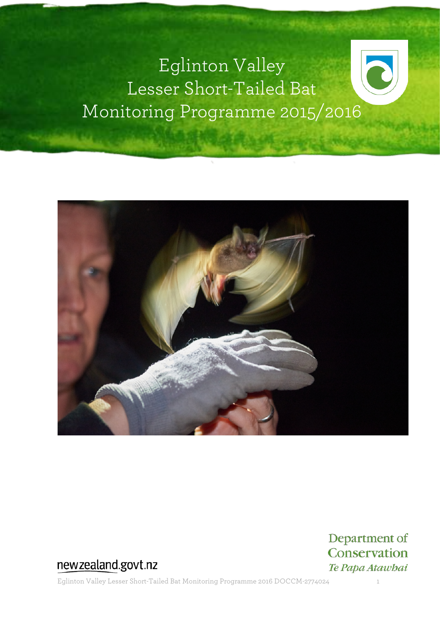# Eglinton Valley Lesser Short-Tailed Bat Monitoring Programme 2015/2016



### newzealand.govt.nz

Eglinton Valley Lesser Short-Tailed Bat Monitoring Programme 2016 DOCCM-2774024 1

Department of Conservation Te Papa Atawbai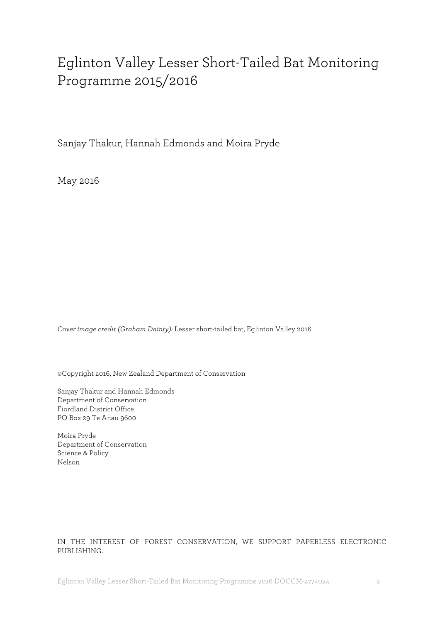# Eglinton Valley Lesser Short-Tailed Bat Monitoring Programme 2015/2016

Sanjay Thakur, Hannah Edmonds and Moira Pryde

May 2016

*Cover image credit (Graham Dainty):* Lesser short-tailed bat, Eglinton Valley 2016

©Copyright 2016, New Zealand Department of Conservation

Sanjay Thakur and Hannah Edmonds Department of Conservation Fiordland District Office PO Box 29 Te Anau 9600

Moira Pryde Department of Conservation Science & Policy Nelson

#### IN THE INTEREST OF FOREST CONSERVATION, WE SUPPORT PAPERLESS ELECTRONIC PUBLISHING.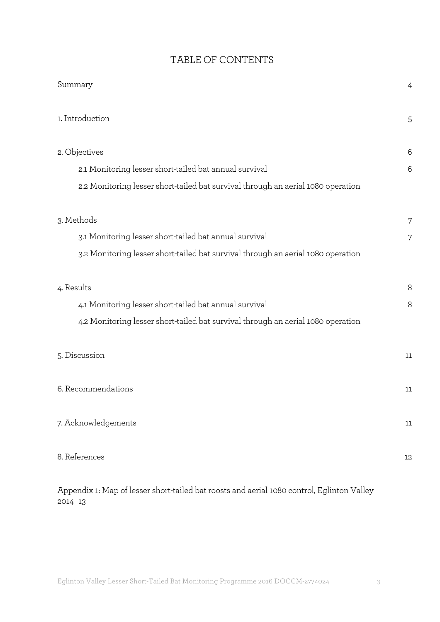#### TABLE OF CONTENTS

| Summary                                                                          | 4      |
|----------------------------------------------------------------------------------|--------|
| 1. Introduction                                                                  | 5      |
| 2. Objectives                                                                    | 6      |
| 2.1 Monitoring lesser short-tailed bat annual survival                           | 6      |
| 2.2 Monitoring lesser short-tailed bat survival through an aerial 1080 operation |        |
| 3. Methods                                                                       | 7      |
| 3.1 Monitoring lesser short-tailed bat annual survival                           | 7      |
| 3.2 Monitoring lesser short-tailed bat survival through an aerial 1080 operation |        |
| 4. Results                                                                       | 8      |
| 4.1 Monitoring lesser short-tailed bat annual survival                           | 8      |
| 4.2 Monitoring lesser short-tailed bat survival through an aerial 1080 operation |        |
| 5. Discussion                                                                    | 11     |
| 6. Recommendations                                                               | 11     |
| 7. Acknowledgements                                                              | $11\,$ |
| 8. References                                                                    | 12     |

Appendix 1: Map of lesser short-tailed bat roosts and aerial 1080 control, Eglinton Valley 2014 13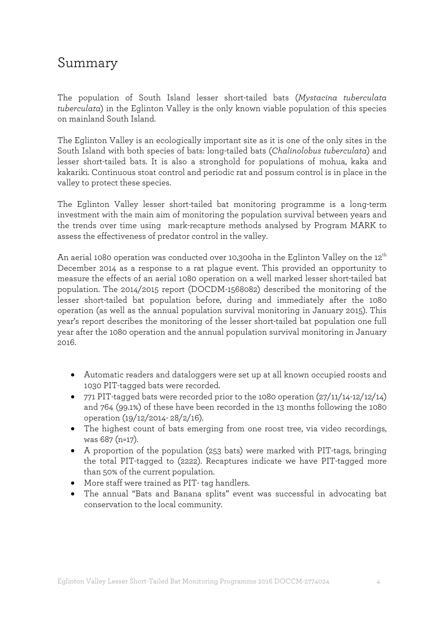# Summary

The population of South Island lesser short-tailed bats (*Mystacina tuberculata tuberculata*) in the Eglinton Valley is the only known viable population of this species on mainland South Island.

The Eglinton Valley is an ecologically important site as it is one of the only sites in the South Island with both species of bats: long-tailed bats (*Chalinolobus tuberculata*) and lesser short-tailed bats. It is also a stronghold for populations of mohua, kaka and kakariki. Continuous stoat control and periodic rat and possum control is in place in the valley to protect these species.

The Eglinton Valley lesser short-tailed bat monitoring programme is a long-term investment with the main aim of monitoring the population survival between years and the trends over time using mark-recapture methods analysed by Program MARK to assess the effectiveness of predator control in the valley.

An aerial 1080 operation was conducted over 10,300ha in the Eglinton Valley on the  $12^{th}$ December 2014 as a response to a rat plague event. This provided an opportunity to measure the effects of an aerial 1080 operation on a well marked lesser short-tailed bat population. The 2014/2015 report (DOCDM-1568082) described the monitoring of the lesser short-tailed bat population before, during and immediately after the 1080 operation (as well as the annual population survival monitoring in January 2015). This year's report describes the monitoring of the lesser short-tailed bat population one full year after the 1080 operation and the annual population survival monitoring in January 2016.

- Automatic readers and dataloggers were set up at all known occupied roosts and 1030 PIT-tagged bats were recorded.
- 771 PIT-tagged bats were recorded prior to the 1080 operation (27/11/14-12/12/14) and 764 (99.1%) of these have been recorded in the 13 months following the 1080 operation (19/12/2014- 28/2/16).
- The highest count of bats emerging from one roost tree, via video recordings, was 687 (n=17).
- A proportion of the population (253 bats) were marked with PIT-tags, bringing the total PIT-tagged to (2222). Recaptures indicate we have PIT-tagged more than 50% of the current population.
- More staff were trained as PIT- tag handlers.
- The annual "Bats and Banana splits" event was successful in advocating bat conservation to the local community.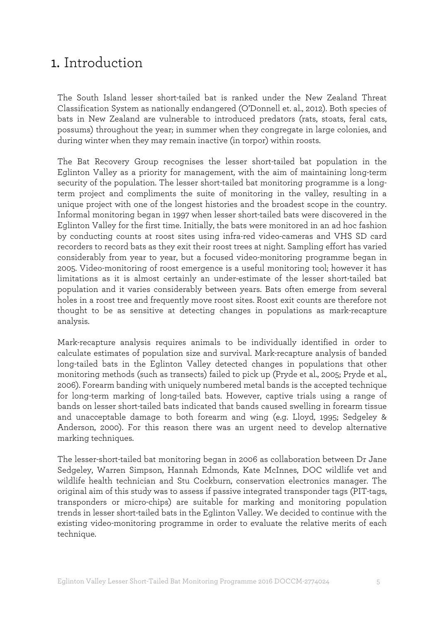### 1. Introduction

The South Island lesser short-tailed bat is ranked under the New Zealand Threat Classification System as nationally endangered (O'Donnell et. al., 2012). Both species of bats in New Zealand are vulnerable to introduced predators (rats, stoats, feral cats, possums) throughout the year; in summer when they congregate in large colonies, and during winter when they may remain inactive (in torpor) within roosts.

The Bat Recovery Group recognises the lesser short-tailed bat population in the Eglinton Valley as a priority for management, with the aim of maintaining long-term security of the population. The lesser short-tailed bat monitoring programme is a longterm project and compliments the suite of monitoring in the valley, resulting in a unique project with one of the longest histories and the broadest scope in the country. Informal monitoring began in 1997 when lesser short-tailed bats were discovered in the Eglinton Valley for the first time. Initially, the bats were monitored in an ad hoc fashion by conducting counts at roost sites using infra-red video-cameras and VHS SD card recorders to record bats as they exit their roost trees at night. Sampling effort has varied considerably from year to year, but a focused video-monitoring programme began in 2005. Video-monitoring of roost emergence is a useful monitoring tool; however it has limitations as it is almost certainly an under-estimate of the lesser short-tailed bat population and it varies considerably between years. Bats often emerge from several holes in a roost tree and frequently move roost sites. Roost exit counts are therefore not thought to be as sensitive at detecting changes in populations as mark-recapture analysis.

Mark-recapture analysis requires animals to be individually identified in order to calculate estimates of population size and survival. Mark-recapture analysis of banded long-tailed bats in the Eglinton Valley detected changes in populations that other monitoring methods (such as transects) failed to pick up (Pryde et al., 2005; Pryde et al., 2006). Forearm banding with uniquely numbered metal bands is the accepted technique for long-term marking of long-tailed bats. However, captive trials using a range of bands on lesser short-tailed bats indicated that bands caused swelling in forearm tissue and unacceptable damage to both forearm and wing (e.g. Lloyd, 1995; Sedgeley & Anderson, 2000). For this reason there was an urgent need to develop alternative marking techniques.

The lesser-short-tailed bat monitoring began in 2006 as collaboration between Dr Jane Sedgeley, Warren Simpson, Hannah Edmonds, Kate McInnes, DOC wildlife vet and wildlife health technician and Stu Cockburn, conservation electronics manager. The original aim of this study was to assess if passive integrated transponder tags (PIT-tags, transponders or micro-chips) are suitable for marking and monitoring population trends in lesser short-tailed bats in the Eglinton Valley. We decided to continue with the existing video-monitoring programme in order to evaluate the relative merits of each technique.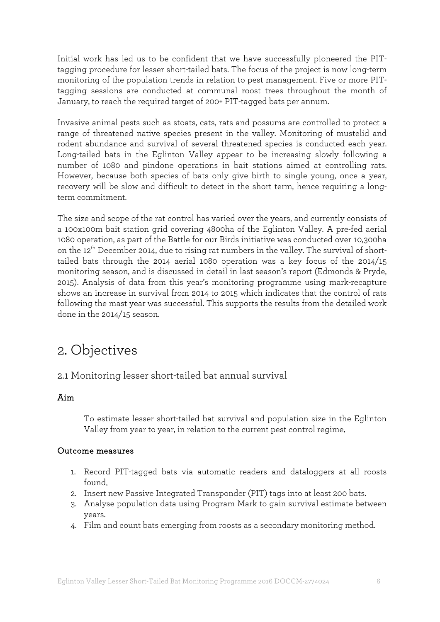Initial work has led us to be confident that we have successfully pioneered the PITtagging procedure for lesser short-tailed bats. The focus of the project is now long-term monitoring of the population trends in relation to pest management. Five or more PITtagging sessions are conducted at communal roost trees throughout the month of January, to reach the required target of 200+ PIT-tagged bats per annum.

Invasive animal pests such as stoats, cats, rats and possums are controlled to protect a range of threatened native species present in the valley. Monitoring of mustelid and rodent abundance and survival of several threatened species is conducted each year. Long-tailed bats in the Eglinton Valley appear to be increasing slowly following a number of 1080 and pindone operations in bait stations aimed at controlling rats. However, because both species of bats only give birth to single young, once a year, recovery will be slow and difficult to detect in the short term, hence requiring a longterm commitment.

The size and scope of the rat control has varied over the years, and currently consists of a 100x100m bait station grid covering 4800ha of the Eglinton Valley. A pre-fed aerial 1080 operation, as part of the Battle for our Birds initiative was conducted over 10,300ha on the  $12<sup>th</sup>$  December 2014, due to rising rat numbers in the valley. The survival of shorttailed bats through the 2014 aerial 1080 operation was a key focus of the 2014/15 monitoring season, and is discussed in detail in last season's report (Edmonds & Pryde, 2015). Analysis of data from this year's monitoring programme using mark-recapture shows an increase in survival from 2014 to 2015 which indicates that the control of rats following the mast year was successful. This supports the results from the detailed work done in the 2014/15 season.

# 2. Objectives

#### 2.1 Monitoring lesser short-tailed bat annual survival

#### Aim

To estimate lesser short-tailed bat survival and population size in the Eglinton Valley from year to year, in relation to the current pest control regime.

#### Outcome measures

- 1. Record PIT-tagged bats via automatic readers and dataloggers at all roosts found.
- 2. Insert new Passive Integrated Transponder (PIT) tags into at least 200 bats.
- 3. Analyse population data using Program Mark to gain survival estimate between years.
- 4. Film and count bats emerging from roosts as a secondary monitoring method.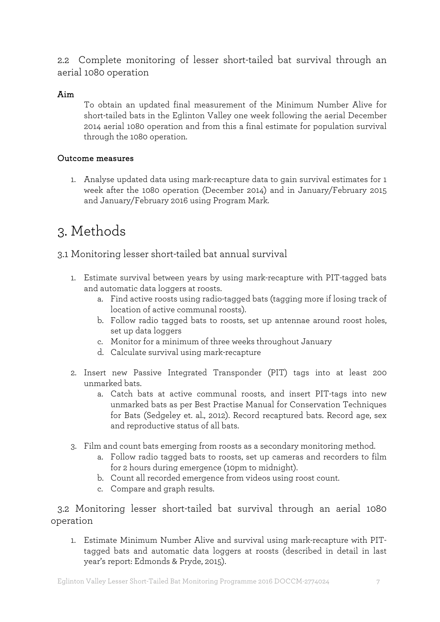2.2 Complete monitoring of lesser short-tailed bat survival through an aerial 1080 operation

#### Aim

To obtain an updated final measurement of the Minimum Number Alive for short-tailed bats in the Eglinton Valley one week following the aerial December 2014 aerial 1080 operation and from this a final estimate for population survival through the 1080 operation.

#### Outcome measures

1. Analyse updated data using mark-recapture data to gain survival estimates for 1 week after the 1080 operation (December 2014) and in January/February 2015 and January/February 2016 using Program Mark.

# 3. Methods

3.1 Monitoring lesser short-tailed bat annual survival

- 1. Estimate survival between years by using mark-recapture with PIT-tagged bats and automatic data loggers at roosts.
	- a. Find active roosts using radio-tagged bats (tagging more if losing track of location of active communal roosts).
	- b. Follow radio tagged bats to roosts, set up antennae around roost holes, set up data loggers
	- c. Monitor for a minimum of three weeks throughout January
	- d. Calculate survival using mark-recapture
- 2. Insert new Passive Integrated Transponder (PIT) tags into at least 200 unmarked bats.
	- a. Catch bats at active communal roosts, and insert PIT-tags into new unmarked bats as per Best Practise Manual for Conservation Techniques for Bats (Sedgeley et. al., 2012). Record recaptured bats. Record age, sex and reproductive status of all bats.
- 3. Film and count bats emerging from roosts as a secondary monitoring method.
	- a. Follow radio tagged bats to roosts, set up cameras and recorders to film for 2 hours during emergence (10pm to midnight).
	- b. Count all recorded emergence from videos using roost count.
	- c. Compare and graph results.

3.2 Monitoring lesser short-tailed bat survival through an aerial 1080 operation

1. Estimate Minimum Number Alive and survival using mark-recapture with PITtagged bats and automatic data loggers at roosts (described in detail in last year's report: Edmonds & Pryde, 2015).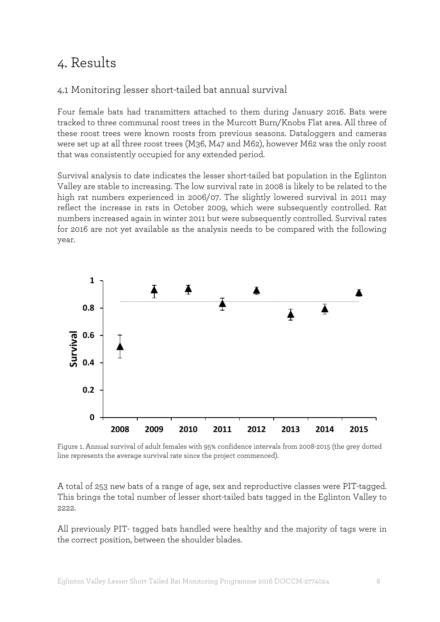# 4. Results

#### 4.1 Monitoring lesser short-tailed bat annual survival

Four female bats had transmitters attached to them during January 2016. Bats were tracked to three communal roost trees in the Murcott Burn/Knobs Flat area. All three of these roost trees were known roosts from previous seasons. Dataloggers and cameras were set up at all three roost trees (M36, M47 and M62), however M62 was the only roost that was consistently occupied for any extended period.

Survival analysis to date indicates the lesser short-tailed bat population in the Eglinton Valley are stable to increasing. The low survival rate in 2008 is likely to be related to the high rat numbers experienced in 2006/07. The slightly lowered survival in 2011 may reflect the increase in rats in October 2009, which were subsequently controlled. Rat numbers increased again in winter 2011 but were subsequently controlled. Survival rates for 2016 are not yet available as the analysis needs to be compared with the following year.



Figure 1. Annual survival of adult females with 95% confidence intervals from 2008-2015 (the grey dotted line represents the average survival rate since the project commenced).

A total of 253 new bats of a range of age, sex and reproductive classes were PIT-tagged. This brings the total number of lesser short-tailed bats tagged in the Eglinton Valley to 2222.

All previously PIT- tagged bats handled were healthy and the majority of tags were in the correct position, between the shoulder blades.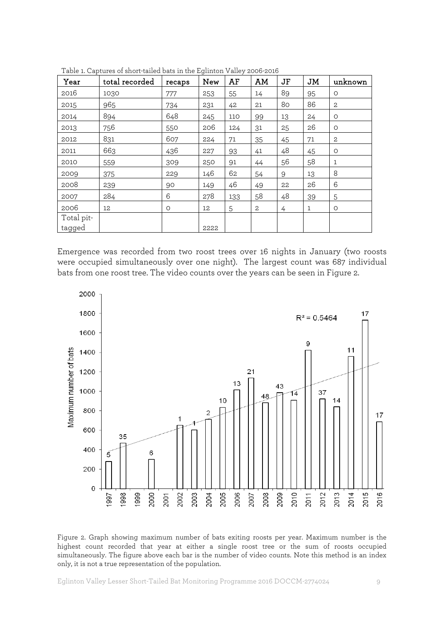| Year                 | total recorded | recaps  | <b>New</b> | AF  | AM | <b>JF</b> | JM           | unknown        |
|----------------------|----------------|---------|------------|-----|----|-----------|--------------|----------------|
| 2016                 | 1030           | 777     | 253        | 55  | 14 | 89        | 95           | O              |
| 2015                 | 965            | 734     | 231        | 42  | 21 | 80        | 86           | $\overline{2}$ |
| 2014                 | 894            | 648     | 245        | 110 | 99 | 13        | 24           | $\circ$        |
| 2013                 | 756            | 550     | 206        | 124 | 31 | 25        | 26           | O              |
| 2012                 | 831            | 607     | 224        | 71  | 35 | 45        | 71           | $\mathbf{2}$   |
| 2011                 | 663            | 436     | 227        | 93  | 41 | 48        | 45           | $\circ$        |
| 2010                 | 559            | 309     | 250        | 91  | 44 | 56        | 58           | $\mathbf{1}$   |
| 2009                 | 375            | 229     | 146        | 62  | 54 | 9         | 13           | 8              |
| 2008                 | 239            | 90      | 149        | 46  | 49 | 22        | 26           | 6              |
| 2007                 | 284            | 6       | 278        | 133 | 58 | 48        | 39           | 5              |
| 2006                 | 12             | $\circ$ | 12         | 5   | 2  | 4         | $\mathbf{1}$ | $\circ$        |
| Total pit-<br>tagged |                |         | 2222       |     |    |           |              |                |

Table 1. Captures of short-tailed bats in the Eglinton Valley 2006-2016

Emergence was recorded from two roost trees over 16 nights in January (two roosts were occupied simultaneously over one night). The largest count was 687 individual bats from one roost tree. The video counts over the years can be seen in Figure 2.



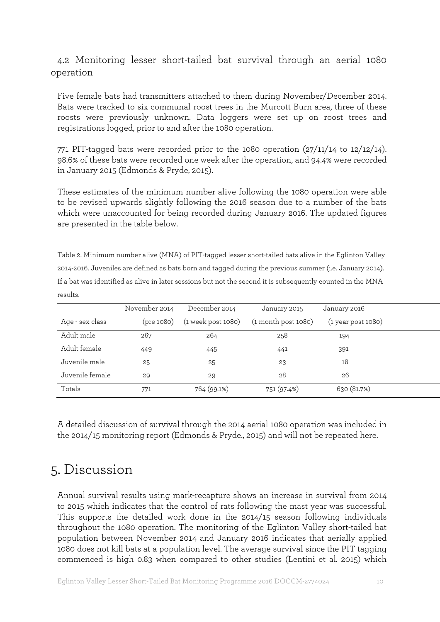#### 4.2 Monitoring lesser short-tailed bat survival through an aerial 1080 operation

Five female bats had transmitters attached to them during November/December 2014. Bats were tracked to six communal roost trees in the Murcott Burn area, three of these roosts were previously unknown. Data loggers were set up on roost trees and registrations logged, prior to and after the 1080 operation.

771 PIT-tagged bats were recorded prior to the 1080 operation (27/11/14 to 12/12/14). 98.6% of these bats were recorded one week after the operation, and 94.4% were recorded in January 2015 (Edmonds & Pryde, 2015).

These estimates of the minimum number alive following the 1080 operation were able to be revised upwards slightly following the 2016 season due to a number of the bats which were unaccounted for being recorded during January 2016. The updated figures are presented in the table below.

Table 2. Minimum number alive (MNA) of PIT-tagged lesser short-tailed bats alive in the Eglinton Valley 2014-2016. Juveniles are defined as bats born and tagged during the previous summer (i.e. January 2014). If a bat was identified as alive in later sessions but not the second it is subsequently counted in the MNA results.

|                 | November 2014 | December 2014      | January 2015            | January 2016         |  |
|-----------------|---------------|--------------------|-------------------------|----------------------|--|
| Age - sex class | (pre 1080)    | (1 week post 1080) | $(1$ month post $1080)$ | $(1$ year post 1080) |  |
| Adult male      | 267           | 264                | 258                     | 194                  |  |
| Adult female    | 449           | 445                | 441                     | 391                  |  |
| Juvenile male   | 25            | 25                 | 23                      | 18                   |  |
| Juvenile female | 29            | 29                 | 28                      | 26                   |  |
| Totals          | 771           | 764 (99.1%)        | 751 (97.4%)             | 630 (81.7%)          |  |

A detailed discussion of survival through the 2014 aerial 1080 operation was included in the 2014/15 monitoring report (Edmonds & Pryde., 2015) and will not be repeated here.

### 5. Discussion

Annual survival results using mark-recapture shows an increase in survival from 2014 to 2015 which indicates that the control of rats following the mast year was successful. This supports the detailed work done in the 2014/15 season following individuals throughout the 1080 operation. The monitoring of the Eglinton Valley short-tailed bat population between November 2014 and January 2016 indicates that aerially applied 1080 does not kill bats at a population level. The average survival since the PIT tagging commenced is high 0.83 when compared to other studies (Lentini et al. 2015) which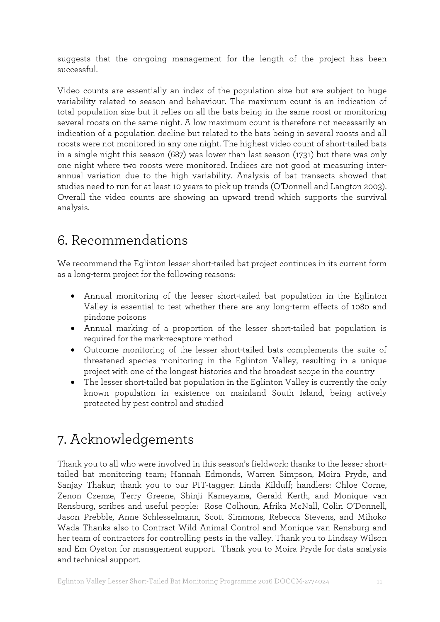suggests that the on-going management for the length of the project has been successful.

Video counts are essentially an index of the population size but are subject to huge variability related to season and behaviour. The maximum count is an indication of total population size but it relies on all the bats being in the same roost or monitoring several roosts on the same night. A low maximum count is therefore not necessarily an indication of a population decline but related to the bats being in several roosts and all roosts were not monitored in any one night. The highest video count of short-tailed bats in a single night this season (687) was lower than last season (1731) but there was only one night where two roosts were monitored. Indices are not good at measuring interannual variation due to the high variability. Analysis of bat transects showed that studies need to run for at least 10 years to pick up trends (O'Donnell and Langton 2003). Overall the video counts are showing an upward trend which supports the survival analysis.

# 6. Recommendations

We recommend the Eglinton lesser short-tailed bat project continues in its current form as a long-term project for the following reasons:

- Annual monitoring of the lesser short-tailed bat population in the Eglinton Valley is essential to test whether there are any long-term effects of 1080 and pindone poisons
- Annual marking of a proportion of the lesser short-tailed bat population is required for the mark-recapture method
- Outcome monitoring of the lesser short-tailed bats complements the suite of threatened species monitoring in the Eglinton Valley, resulting in a unique project with one of the longest histories and the broadest scope in the country
- The lesser short-tailed bat population in the Eglinton Valley is currently the only known population in existence on mainland South Island, being actively protected by pest control and studied

# 7. Acknowledgements

Thank you to all who were involved in this season's fieldwork: thanks to the lesser shorttailed bat monitoring team; Hannah Edmonds, Warren Simpson, Moira Pryde, and Sanjay Thakur; thank you to our PIT-tagger: Linda Kilduff; handlers: Chloe Corne, Zenon Czenze, Terry Greene, Shinji Kameyama, Gerald Kerth, and Monique van Rensburg, scribes and useful people: Rose Colhoun, Afrika McNall, Colin O'Donnell, Jason Prebble, Anne Schlesselmann, Scott Simmons, Rebecca Stevens, and Mihoko Wada Thanks also to Contract Wild Animal Control and Monique van Rensburg and her team of contractors for controlling pests in the valley. Thank you to Lindsay Wilson and Em Oyston for management support. Thank you to Moira Pryde for data analysis and technical support.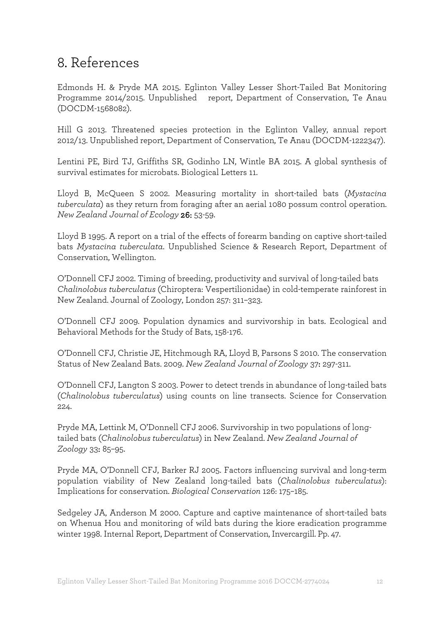# 8. References

Edmonds H. & Pryde MA 2015. Eglinton Valley Lesser Short-Tailed Bat Monitoring Programme 2014/2015. Unpublished report, Department of Conservation, Te Anau (DOCDM-1568082).

Hill G 2013. Threatened species protection in the Eglinton Valley, annual report 2012/13. Unpublished report, Department of Conservation, Te Anau (DOCDM-1222347).

Lentini PE, Bird TJ, Griffiths SR, Godinho LN, Wintle BA 2015. A global synthesis of survival estimates for microbats. Biological Letters 11.

Lloyd B, McQueen S 2002. Measuring mortality in short-tailed bats (*Mystacina tuberculata*) as they return from foraging after an aerial 1080 possum control operation. *New Zealand Journal of Ecology* 26: 53-59.

Lloyd B 1995. A report on a trial of the effects of forearm banding on captive short-tailed bats *Mystacina tuberculata*. Unpublished Science & Research Report, Department of Conservation, Wellington.

O'Donnell CFJ 2002. Timing of breeding, productivity and survival of long-tailed bats *Chalinolobus tuberculatus* (Chiroptera: Vespertilionidae) in cold-temperate rainforest in New Zealand. Journal of Zoology, London 257: 311–323.

O'Donnell CFJ 2009. Population dynamics and survivorship in bats. Ecological and Behavioral Methods for the Study of Bats, 158-176.

O'Donnell CFJ, Christie JE, Hitchmough RA, Lloyd B, Parsons S 2010. The conservation Status of New Zealand Bats. 2009. *New Zealand Journal of Zoology* 37: 297-311.

O'Donnell CFJ, Langton S 2003. Power to detect trends in abundance of long-tailed bats (*Chalinolobus tuberculatus*) using counts on line transects. Science for Conservation 224.

Pryde MA, Lettink M, O'Donnell CFJ 2006. Survivorship in two populations of longtailed bats (*Chalinolobus tuberculatus*) in New Zealand. *New Zealand Journal of Zoology* 33: 85–95.

Pryde MA, O'Donnell CFJ, Barker RJ 2005. Factors influencing survival and long-term population viability of New Zealand long-tailed bats (*Chalinolobus tuberculatus*): Implications for conservation. *Biological Conservation* 126: 175–185.

Sedgeley JA, Anderson M 2000. Capture and captive maintenance of short-tailed bats on Whenua Hou and monitoring of wild bats during the kiore eradication programme winter 1998. Internal Report, Department of Conservation, Invercargill. Pp. 47.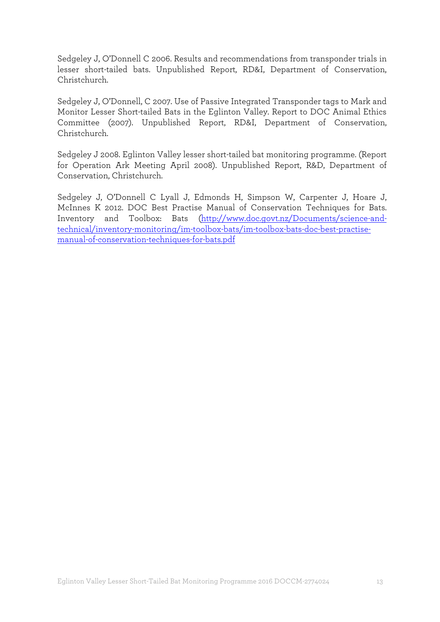Sedgeley J, O'Donnell C 2006. Results and recommendations from transponder trials in lesser short-tailed bats. Unpublished Report, RD&I, Department of Conservation, Christchurch.

Sedgeley J, O'Donnell, C 2007. Use of Passive Integrated Transponder tags to Mark and Monitor Lesser Short-tailed Bats in the Eglinton Valley. Report to DOC Animal Ethics Committee (2007). Unpublished Report, RD&I, Department of Conservation, Christchurch.

Sedgeley J 2008. Eglinton Valley lesser short-tailed bat monitoring programme. (Report for Operation Ark Meeting April 2008). Unpublished Report, R&D, Department of Conservation, Christchurch.

Sedgeley J, O'Donnell C Lyall J, Edmonds H, Simpson W, Carpenter J, Hoare J, McInnes K 2012. DOC Best Practise Manual of Conservation Techniques for Bats. Inventory and Toolbox: Bats [\(http://www.doc.govt.nz/Documents/science-and](http://www.doc.govt.nz/Documents/science-and-technical/inventory-monitoring/im-toolbox-bats/im-toolbox-bats-doc-best-practise-manual-of-conservation-techniques-for-bats.pdf)[technical/inventory-monitoring/im-toolbox-bats/im-toolbox-bats-doc-best-practise](http://www.doc.govt.nz/Documents/science-and-technical/inventory-monitoring/im-toolbox-bats/im-toolbox-bats-doc-best-practise-manual-of-conservation-techniques-for-bats.pdf)[manual-of-conservation-techniques-for-bats.pdf](http://www.doc.govt.nz/Documents/science-and-technical/inventory-monitoring/im-toolbox-bats/im-toolbox-bats-doc-best-practise-manual-of-conservation-techniques-for-bats.pdf)